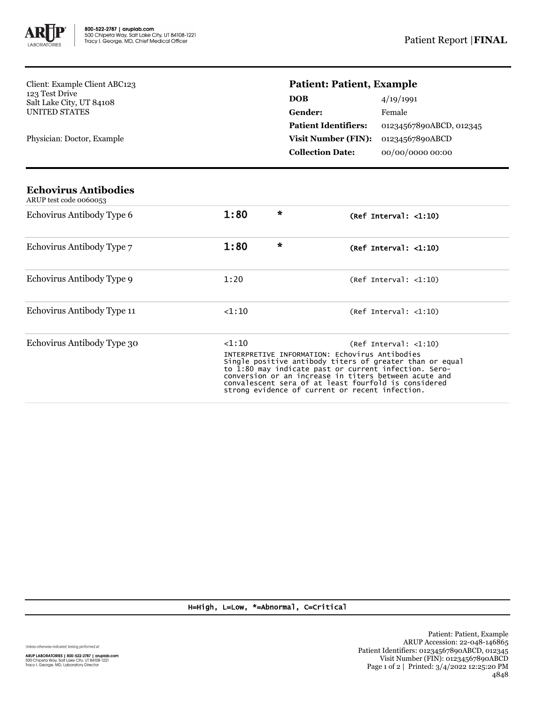

Client: Example Client ABC123 123 Test Drive Salt Lake City, UT 84108 UNITED STATES

Physician: Doctor, Example

## **Patient: Patient, Example**

| <b>DOB</b>                  | 4/19/1991               |
|-----------------------------|-------------------------|
| Gender:                     | Female                  |
| <b>Patient Identifiers:</b> | 01234567890ABCD, 012345 |
| <b>Visit Number (FIN):</b>  | 01234567890ABCD         |
| <b>Collection Date:</b>     | 00/00/0000 00:00        |

| Echovirus Antibodies<br>ARUP test code 0060053 |                                                                                                                                                                                                                                                                                                                                                                            |   |                                       |
|------------------------------------------------|----------------------------------------------------------------------------------------------------------------------------------------------------------------------------------------------------------------------------------------------------------------------------------------------------------------------------------------------------------------------------|---|---------------------------------------|
| Echovirus Antibody Type 6                      | 1:80                                                                                                                                                                                                                                                                                                                                                                       | ∗ | (Ref Interval: <1:10)                 |
| Echovirus Antibody Type 7                      | 1:80                                                                                                                                                                                                                                                                                                                                                                       | ∗ | (Ref Interval: $\langle 1:10 \rangle$ |
| Echovirus Antibody Type 9                      | 1:20                                                                                                                                                                                                                                                                                                                                                                       |   | (Ref Interval: <1:10)                 |
| Echovirus Antibody Type 11                     | < 1:10                                                                                                                                                                                                                                                                                                                                                                     |   | (Ref Interval: <1:10)                 |
| Echovirus Antibody Type 30                     | < 1:10<br>(Ref Interval: <1:10)<br>INTERPRETIVE INFORMATION: Echovirus Antibodies<br>Single positive antibody titers of greater than or equal<br>to 1:80 may indicate past or current infection. Sero-<br>conversion or an increase in titers between acute and<br>convalescent sera of at least fourfold is considered<br>strong evidence of current or recent infection. |   |                                       |

H=High, L=Low, \*=Abnormal, C=Critical

Unless otherwise indicated, testing performed at: